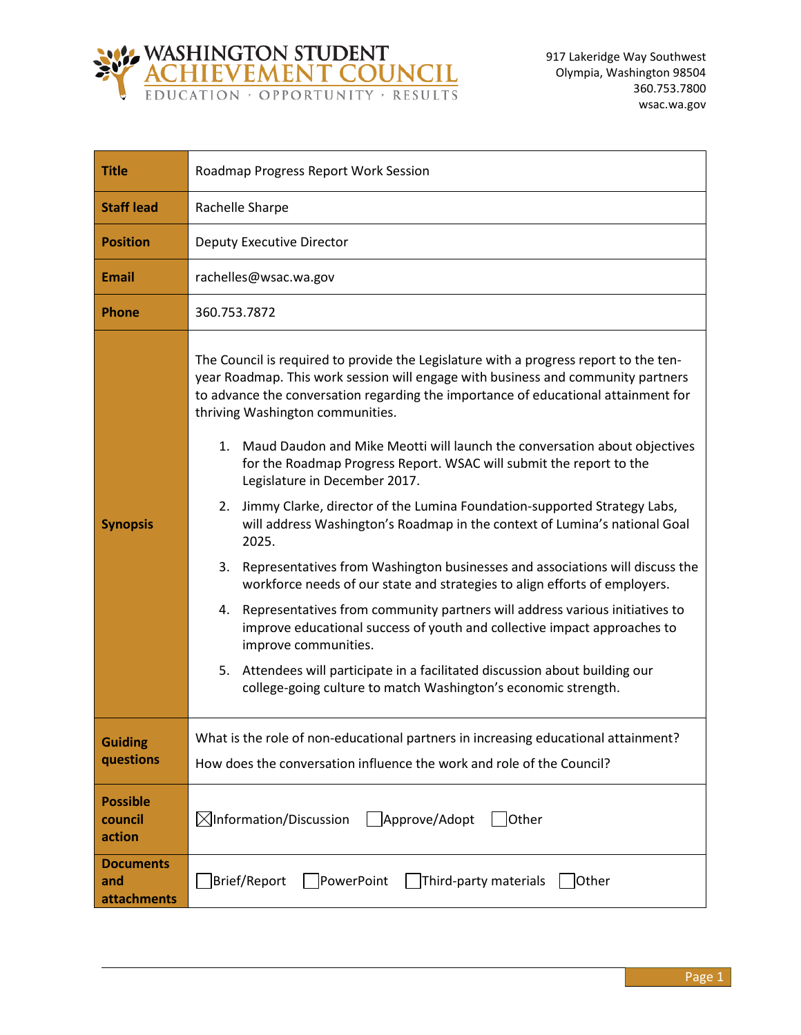

| <b>Title</b>                           | Roadmap Progress Report Work Session                                                                                                                                                                                                                                                                                                                                                                                                                                                                                                                                                                                                                                                                                                                                                                                                                                                                                                                                                                                                                                                                                                                                             |  |
|----------------------------------------|----------------------------------------------------------------------------------------------------------------------------------------------------------------------------------------------------------------------------------------------------------------------------------------------------------------------------------------------------------------------------------------------------------------------------------------------------------------------------------------------------------------------------------------------------------------------------------------------------------------------------------------------------------------------------------------------------------------------------------------------------------------------------------------------------------------------------------------------------------------------------------------------------------------------------------------------------------------------------------------------------------------------------------------------------------------------------------------------------------------------------------------------------------------------------------|--|
| <b>Staff lead</b>                      | Rachelle Sharpe                                                                                                                                                                                                                                                                                                                                                                                                                                                                                                                                                                                                                                                                                                                                                                                                                                                                                                                                                                                                                                                                                                                                                                  |  |
| <b>Position</b>                        | <b>Deputy Executive Director</b>                                                                                                                                                                                                                                                                                                                                                                                                                                                                                                                                                                                                                                                                                                                                                                                                                                                                                                                                                                                                                                                                                                                                                 |  |
| <b>Email</b>                           | rachelles@wsac.wa.gov                                                                                                                                                                                                                                                                                                                                                                                                                                                                                                                                                                                                                                                                                                                                                                                                                                                                                                                                                                                                                                                                                                                                                            |  |
| <b>Phone</b>                           | 360.753.7872                                                                                                                                                                                                                                                                                                                                                                                                                                                                                                                                                                                                                                                                                                                                                                                                                                                                                                                                                                                                                                                                                                                                                                     |  |
| <b>Synopsis</b>                        | The Council is required to provide the Legislature with a progress report to the ten-<br>year Roadmap. This work session will engage with business and community partners<br>to advance the conversation regarding the importance of educational attainment for<br>thriving Washington communities.<br>1. Maud Daudon and Mike Meotti will launch the conversation about objectives<br>for the Roadmap Progress Report. WSAC will submit the report to the<br>Legislature in December 2017.<br>Jimmy Clarke, director of the Lumina Foundation-supported Strategy Labs,<br>2.<br>will address Washington's Roadmap in the context of Lumina's national Goal<br>2025.<br>Representatives from Washington businesses and associations will discuss the<br>3.<br>workforce needs of our state and strategies to align efforts of employers.<br>4. Representatives from community partners will address various initiatives to<br>improve educational success of youth and collective impact approaches to<br>improve communities.<br>5. Attendees will participate in a facilitated discussion about building our<br>college-going culture to match Washington's economic strength. |  |
| Guiding<br>questions                   | What is the role of non-educational partners in increasing educational attainment?<br>How does the conversation influence the work and role of the Council?                                                                                                                                                                                                                                                                                                                                                                                                                                                                                                                                                                                                                                                                                                                                                                                                                                                                                                                                                                                                                      |  |
| <b>Possible</b><br>council<br>action   | $\boxtimes$ Information/Discussion<br>Approve/Adopt<br>Other                                                                                                                                                                                                                                                                                                                                                                                                                                                                                                                                                                                                                                                                                                                                                                                                                                                                                                                                                                                                                                                                                                                     |  |
| <b>Documents</b><br>and<br>attachments | Brief/Report<br>PowerPoint<br>Third-party materials<br> Other                                                                                                                                                                                                                                                                                                                                                                                                                                                                                                                                                                                                                                                                                                                                                                                                                                                                                                                                                                                                                                                                                                                    |  |